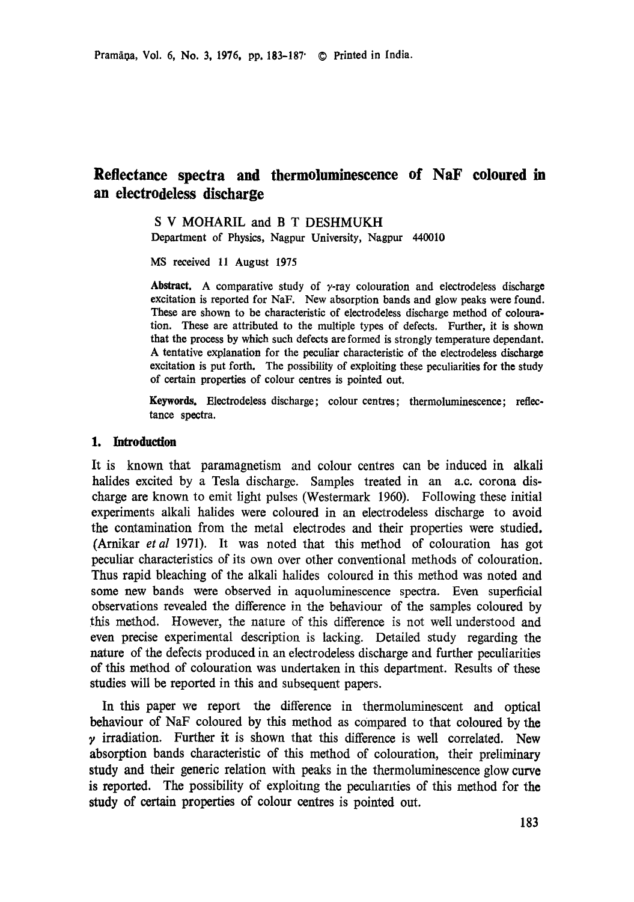# **Reflectance spectra and thermoluminescence of NaF coloured in an electrodeless discharge**

S V MOHARIL and B T DESHMUKH Department of Physics, Nagpur University, Nagpur 440010

MS received 11 August 1975

Abstract. A comparative study of  $\gamma$ -ray colouration and electrodeless discharge excitation is reported for NaF. New absorption bands and glow peaks were found. These are shown to be characteristic of electrodeless discharge method of eolouration. These are attributed to the multiple types of defects. Further, it is shown that the process by which such defects are formed is strongly temperature dependant. A tentative explanation for the peculiar characteristic of the electrodeless discharge excitation is put forth. The possibility of exploiting these peculiarities for the study of certain properties of colour centres is pointed out.

Keywords. Electrodeless discharge; eolour centres; thermoluminescenee; reflectance spectra.

#### **1. Introduction**

It is known that paramagnetism and colour centres can be induced in alkali halides excited by a Tesla discharge. Samples treated in an a.c. corona discharge are known to emit light pulses (Westermark 1960). Following these initial experiments alkali halides were coloured in an electrodeless discharge to avoid the contamination from the metal electrodes and their properties were studied, (Arnikar *et al* 1971). It was noted that this method of colouration has got peculiar characteristics of its own over other conventional methods of colouration. Thus rapid bleaching of the alkali halides coloured in this method was noted and some new bands were observed in aquoluminescence spectra. Even superficial observations revealed the difference in the behaviour of the samples coloured by this method. However, the nature of this difference is not well understood and even precise experimental description is lacking. Detailed study regarding the nature of the defects produced in an electrodeless discharge and further peculiarities of this method of colouration was undertaken in this department. Results of these studies will be reported in this and subsequent papers.

In this paper we report the difference in thermoluminescent and optical behaviour of NaF coloured by this method as compared to that coloured by the  $\gamma$  irradiation. Further it is shown that this difference is well correlated. New absorption bands characteristic of this method of colouration, their preliminary study and their generic relation with peaks in the thermoluminescence glow curve is reported. The possibility of exploiting the peculiarities of this method for the study of certain properties of colour centres is pointed out.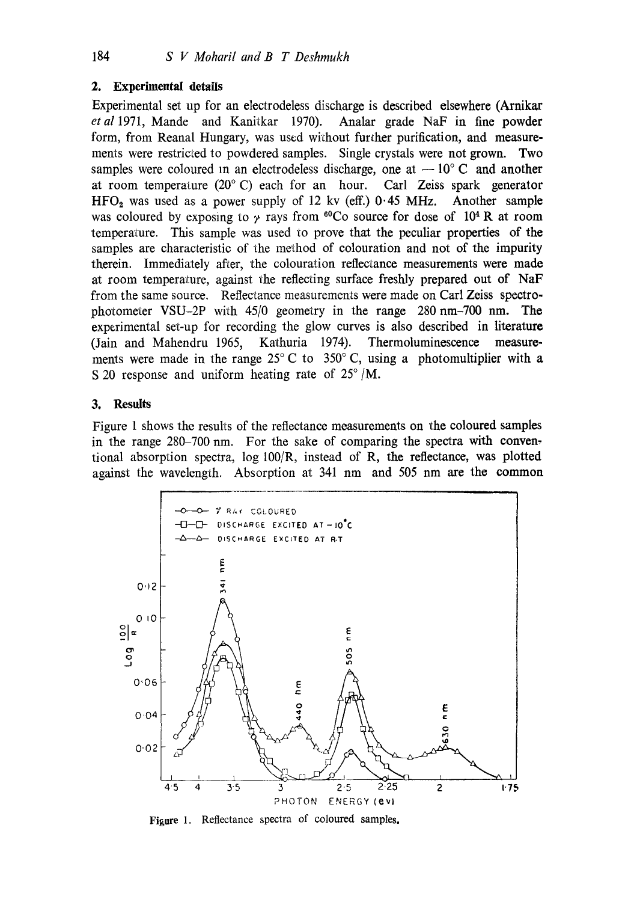## **2. Experimental details**

Experimental set up for an electrodeless discharge is described elsewhere (Arnikar *etal* 1971, Mande and Kanitkar 1970). Analar grade NaF in fine powder form, from Reanal Hungary, was used without further purification, and measurements were restricted to powdered samples. Single crystals were not grown. Two samples were coloured in an electrodeless discharge, one at  $-10^{\circ}$  C and another at room temperature (20°C) each for an hour. Carl Zeiss spark generator  $HFO<sub>2</sub>$  was used as a power supply of 12 kv (eff.) 0.45 MHz. Another sample was coloured by exposing to  $\gamma$  rays from <sup>60</sup>Co source for dose of 10<sup>4</sup> R at room temperature. This sample was used to prove that the peculiar properties of the samples are characteristic of the method of colouration and not of the impurity therein. Immediately after, the colouration reflectance measurements were made at room temperature, against the reflecting surface freshly prepared out of NaF from the same source. Reflectance measurements were made on Carl Zeiss spectrophotometer VSU-2P with 45/0 geometry in the range 280 nm-700 nm. The experimental set-up for recording the glow curves is also described in literature (Jain and Mahendru 1965, Kathuria 1974). Thermoluminescence measurements were made in the range  $25^{\circ}$  C to  $350^{\circ}$  C, using a photomultiplier with a S 20 response and uniform heating rate of  $25^{\circ}/M$ .

## **3. Results**

Figure 1 shows the results of the reflectance measurements on the coloured samples in the range 280-700 nm. For the sake of comparing the spectra with conventional absorption spectra, log 100/R, instead of R, the reflectance, was plotted against the wavelength. Absorption at 341 nm and 505 nm are the common



Figure 1. Reflectance spectra of coloured samples.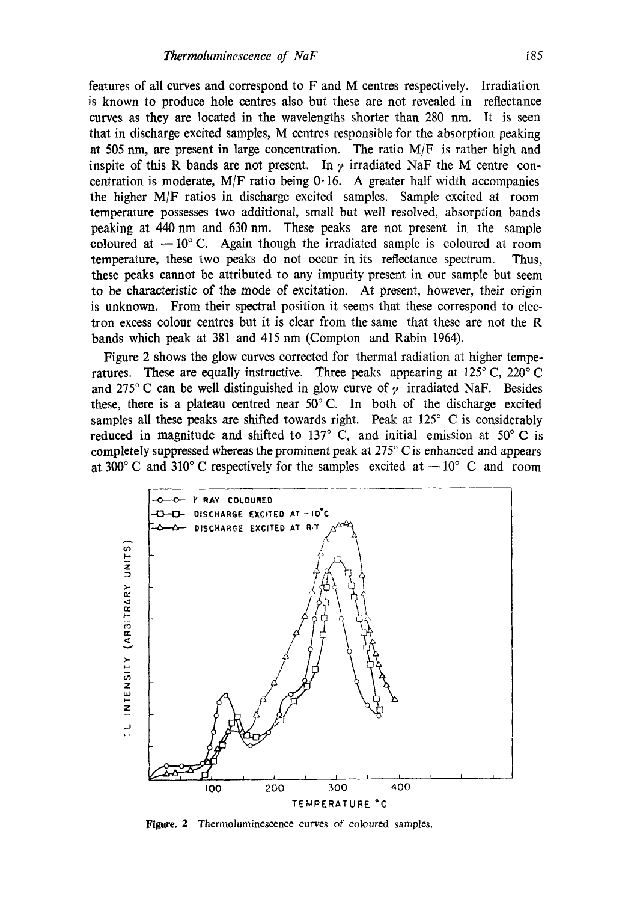features of all curves and correspond to F and M centres respectively. Irradiation is known to produce hole centres also but these are not revealed in reflectance curves as they are located in the wavelengths shorter than  $280 \text{ nm}$ . It is seen that in discharge excited samples, M centres responsible for the absorption peaking at 505 nm, are present in large concentration. The ratio  $M/F$  is rather high and inspite of this R bands are not present. In  $\gamma$  irradiated NaF the M centre concentration is moderate,  $M/F$  ratio being 0.16. A greater half width accompanies the higher M/F ratios in discharge excited samples. Sample excited at room temperature possesses two additional, small but well resolved, absorption bands peaking at 440 nm and 630 nm. These peaks are not present in the sample coloured at  $-10$ °C. Again though the irradiated sample is coloured at room temperature, these two peaks do not occur in its reflectance spectrum. Thus, these peaks cannot be attributed to any impurity present in our sample but seem to be characteristic of the mode of excitation. At present, however, their origin is unknown. From their spectral position it seems that these correspond to electron excess colour centres but it is clear from the same that these are not the R bands which peak at 381 and 415 nm (Compton and Rabin 1964).

Figure 2 shows the glow curves corrected for thermal radiation at higher temperatures. These are equally instructive. Three peaks appearing at  $125^{\circ}$  C,  $220^{\circ}$  C and 275°C can be well distinguished in glow curve of  $\gamma$  irradiated NaF. Besides these, there is a plateau centred near  $50^{\circ}$  C. In both of the discharge excited samples all these peaks are shifted towards right. Peak at  $125^{\circ}$  C is considerably reduced in magnitude and shifted to 137 $\degree$  C, and initial emission at 50 $\degree$ C is completely suppressed whereas the prominent peak at  $275^{\circ}$  C is enhanced and appears at 300 $^{\circ}$  C and 310 $^{\circ}$  C respectively for the samples excited at  $-10^{\circ}$  C and room



**Figure.** 2 Thermoluminescence curves of coloured samples.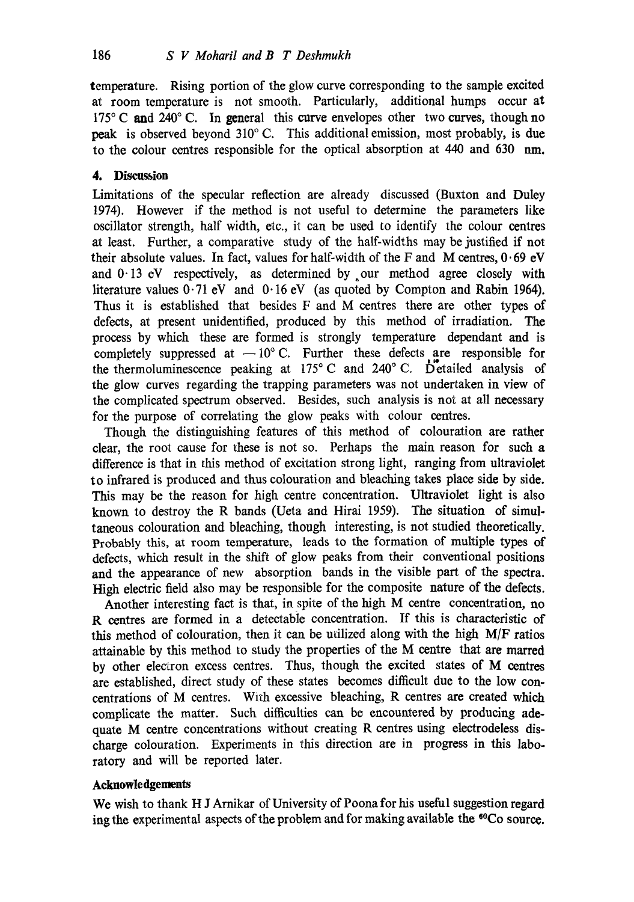temperature. Rising portion of the glow curve corresponding to the sample excited at room temperature is not smooth. Particularly, additional humps occur at 175 $\degree$ C and 240 $\degree$ C. In general this curve envelopes other two curves, though no peak is observed beyond 310° C. This additional emission, most probably, is due to the colour centres responsible for the optical absorption at 440 and 630 nm.

# **4. Discussion**

Limitations of the specular reflection are already discussed (Buxton and Duley 1974). However if the method is not useful to determine the parameters like oscillator strength, half width, etc., it can be used to identify the colour eentres at least. Further, a comparative study of the half-widths may be justified if not their absolute values. In fact, values for half-width of the F and M centres,  $0.69$  eV and  $0.13$  eV respectively, as determined by our method agree closely with literature values 0.71 eV and 0.16 eV (as quoted by Compton and Rabin 1964). Thus it is established that besides F and M centres there are other types of defects, at present unidentified, produced by this method of irradiation. The process by which these are formed is strongly temperature dependant and is completely suppressed at  $-10^{\circ}$  C. Further these defects are responsible for the thermoluminescence peaking at  $175^{\circ}$  C and  $240^{\circ}$  C. Detailed analysis of the glow curves regarding the trapping parameters was not undertaken in view of the complicated spectrum observed. Besides, such analysis is not at all necessary for the purpose of correlating the glow peaks with colour centres.

Though the distinguishing features of this method of colouration are rather clear, the root cause for these is not so. Perhaps the main reason for such a difference is that in this method of excitation strong light, ranging from ultraviolet to infrared is produced and thus colouration and bleaching takes place side by side. This may be the reason for high centre concentration. Ultraviolet light is also known to destroy the R bands (Ueta and Hirai 1959). The situation of simultaneous colouration and bleaching, though interesting, is not studied theoretically. Probably this, at room temperature, leads to the formation of multiple types of defects, which result in the shift of glow peaks from their conventional positions and the appearance of new absorption bands in the visible part of the spectra. High electric field also may be responsible for the composite nature of the defects.

Another interesting fact is that, in spite of the high M centre concentration, no R centres are formed in a detectable concentration. If this is characteristic of this method of colouration, then it can be utilized along with the high M/F ratios attainable by this method to study the properties of the M centre that are marred by other electron excess centres. Thus, though the excited states of M centres are established, direct study of these states becomes difficult due to the low concentrations of M centres. With excessive bleaching, R centres are created which complicate the matter. Such difficulties can be encountered by producing adequate M centre concentrations without creating R centres using electrodeless discharge colouration. Experiments in this direction are in progress in this laboratory and will be reported later.

#### **Acknowledgements**

We wish to thank H J Arnikar of University of Poona for his useful suggestion regard ing the experimental aspects of the problem and for making available the <sup>60</sup>Co source.